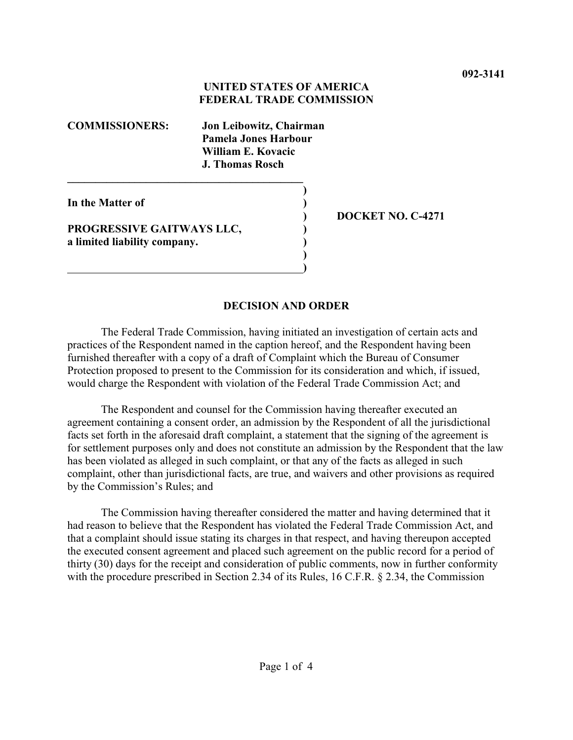## **UNITED STATES OF AMERICA FEDERAL TRADE COMMISSION**

**)**

**)**

**COMMISSIONERS: Jon Leibowitz, Chairman Pamela Jones Harbour William E. Kovacic J. Thomas Rosch**

**In the Matter of )**

**PROGRESSIVE GAITWAYS LLC, ) a limited liability company. )**

**\_\_\_\_\_\_\_\_\_\_\_\_\_\_\_\_\_\_\_\_\_\_\_\_\_\_\_\_\_\_\_\_\_\_\_\_\_\_\_\_\_\_**

 **)**

**) DOCKET NO. C-4271**

## **DECISION AND ORDER**

The Federal Trade Commission, having initiated an investigation of certain acts and practices of the Respondent named in the caption hereof, and the Respondent having been furnished thereafter with a copy of a draft of Complaint which the Bureau of Consumer Protection proposed to present to the Commission for its consideration and which, if issued, would charge the Respondent with violation of the Federal Trade Commission Act; and

The Respondent and counsel for the Commission having thereafter executed an agreement containing a consent order, an admission by the Respondent of all the jurisdictional facts set forth in the aforesaid draft complaint, a statement that the signing of the agreement is for settlement purposes only and does not constitute an admission by the Respondent that the law has been violated as alleged in such complaint, or that any of the facts as alleged in such complaint, other than jurisdictional facts, are true, and waivers and other provisions as required by the Commission's Rules; and

The Commission having thereafter considered the matter and having determined that it had reason to believe that the Respondent has violated the Federal Trade Commission Act, and that a complaint should issue stating its charges in that respect, and having thereupon accepted the executed consent agreement and placed such agreement on the public record for a period of thirty (30) days for the receipt and consideration of public comments, now in further conformity with the procedure prescribed in Section 2.34 of its Rules, 16 C.F.R. § 2.34, the Commission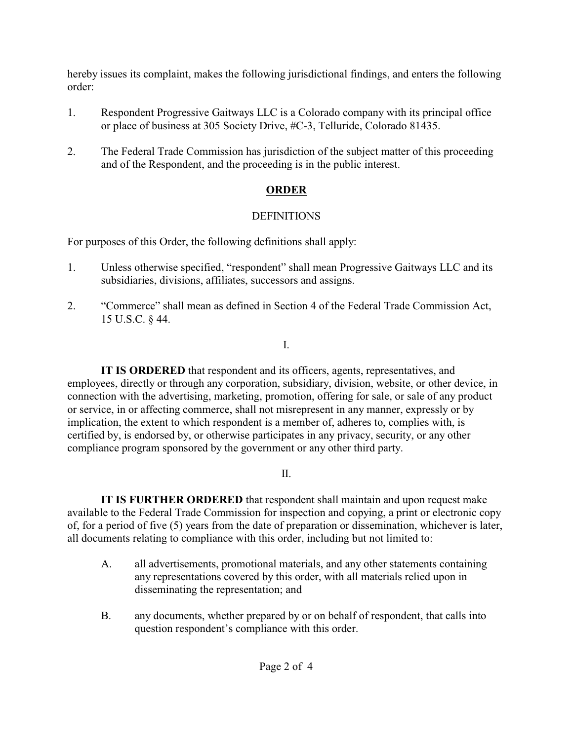hereby issues its complaint, makes the following jurisdictional findings, and enters the following order:

- 1. Respondent Progressive Gaitways LLC is a Colorado company with its principal office or place of business at 305 Society Drive, #C-3, Telluride, Colorado 81435.
- 2. The Federal Trade Commission has jurisdiction of the subject matter of this proceeding and of the Respondent, and the proceeding is in the public interest.

# **ORDER**

# DEFINITIONS

For purposes of this Order, the following definitions shall apply:

- 1. Unless otherwise specified, "respondent" shall mean Progressive Gaitways LLC and its subsidiaries, divisions, affiliates, successors and assigns.
- 2. "Commerce" shall mean as defined in Section 4 of the Federal Trade Commission Act, 15 U.S.C. § 44.

I.

**IT IS ORDERED** that respondent and its officers, agents, representatives, and employees, directly or through any corporation, subsidiary, division, website, or other device, in connection with the advertising, marketing, promotion, offering for sale, or sale of any product or service, in or affecting commerce, shall not misrepresent in any manner, expressly or by implication, the extent to which respondent is a member of, adheres to, complies with, is certified by, is endorsed by, or otherwise participates in any privacy, security, or any other compliance program sponsored by the government or any other third party.

II.

**IT IS FURTHER ORDERED** that respondent shall maintain and upon request make available to the Federal Trade Commission for inspection and copying, a print or electronic copy of, for a period of five (5) years from the date of preparation or dissemination, whichever is later, all documents relating to compliance with this order, including but not limited to:

- A. all advertisements, promotional materials, and any other statements containing any representations covered by this order, with all materials relied upon in disseminating the representation; and
- B. any documents, whether prepared by or on behalf of respondent, that calls into question respondent's compliance with this order.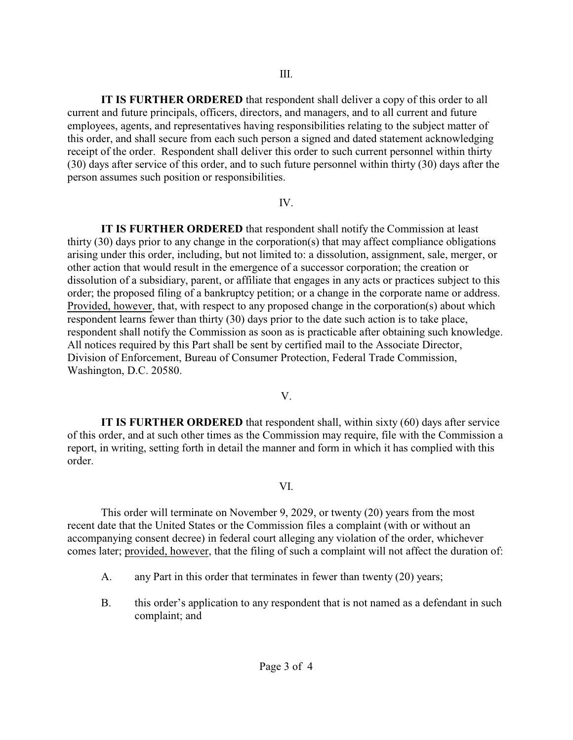**IT IS FURTHER ORDERED** that respondent shall deliver a copy of this order to all current and future principals, officers, directors, and managers, and to all current and future employees, agents, and representatives having responsibilities relating to the subject matter of this order, and shall secure from each such person a signed and dated statement acknowledging receipt of the order. Respondent shall deliver this order to such current personnel within thirty (30) days after service of this order, and to such future personnel within thirty (30) days after the person assumes such position or responsibilities.

## IV.

**IT IS FURTHER ORDERED** that respondent shall notify the Commission at least thirty (30) days prior to any change in the corporation(s) that may affect compliance obligations arising under this order, including, but not limited to: a dissolution, assignment, sale, merger, or other action that would result in the emergence of a successor corporation; the creation or dissolution of a subsidiary, parent, or affiliate that engages in any acts or practices subject to this order; the proposed filing of a bankruptcy petition; or a change in the corporate name or address. Provided, however, that, with respect to any proposed change in the corporation(s) about which respondent learns fewer than thirty (30) days prior to the date such action is to take place, respondent shall notify the Commission as soon as is practicable after obtaining such knowledge. All notices required by this Part shall be sent by certified mail to the Associate Director, Division of Enforcement, Bureau of Consumer Protection, Federal Trade Commission, Washington, D.C. 20580.

## V.

**IT IS FURTHER ORDERED** that respondent shall, within sixty (60) days after service of this order, and at such other times as the Commission may require, file with the Commission a report, in writing, setting forth in detail the manner and form in which it has complied with this order.

## VI.

This order will terminate on November 9, 2029, or twenty (20) years from the most recent date that the United States or the Commission files a complaint (with or without an accompanying consent decree) in federal court alleging any violation of the order, whichever comes later; provided, however, that the filing of such a complaint will not affect the duration of:

- A. any Part in this order that terminates in fewer than twenty (20) years;
- B. this order's application to any respondent that is not named as a defendant in such complaint; and